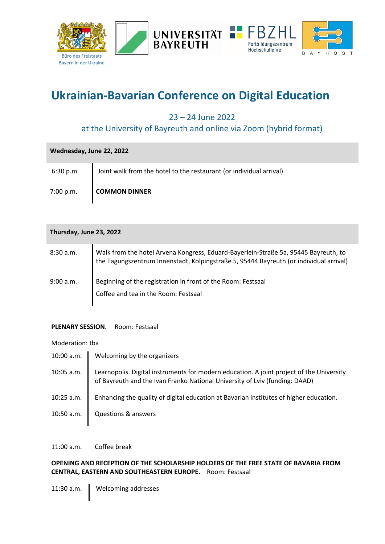

# **Ukrainian-Bavarian Conference on Digital Education**

23 – 24 June 2022

# at the University of Bayreuth and online via Zoom (hybrid format)

| Wednesday, June 22, 2022 |                                                                     |  |
|--------------------------|---------------------------------------------------------------------|--|
| 6:30 p.m.                | Joint walk from the hotel to the restaurant (or individual arrival) |  |
| 7:00 p.m.                | <b>COMMON DINNER</b>                                                |  |

| Thursday, June 23, 2022 |                                                                                                                                                                               |  |
|-------------------------|-------------------------------------------------------------------------------------------------------------------------------------------------------------------------------|--|
| 8:30 a.m.               | Walk from the hotel Arvena Kongress, Eduard-Bayerlein-Straße 5a, 95445 Bayreuth, to<br>the Tagungszentrum Innenstadt, Kolpingstraße 5, 95444 Bayreuth (or individual arrival) |  |
| 9:00 a.m.               | Beginning of the registration in front of the Room: Festsaal<br>Coffee and tea in the Room: Festsaal                                                                          |  |

# **PLENARY SESSION**. Room: Festsaal

#### Moderation: tba

10:00 a.m. Velcoming by the organizers 10:05 a.m. Learnopolis. Digital instruments for modern education. A joint project of the University of Bayreuth and the Ivan Franko National University of Lviv (funding: DAAD) 10:25 a.m. | Enhancing the quality of digital education at Bavarian institutes of higher education. 10:50 a.m. Cuestions & answers

11:00 a.m. Coffee break

# **OPENING AND RECEPTION OF THE SCHOLARSHIP HOLDERS OF THE FREE STATE OF BAVARIA FROM CENTRAL, EASTERN AND SOUTHEASTERN EUROPE.** Room: Festsaal

11:30 a.m. Velcoming addresses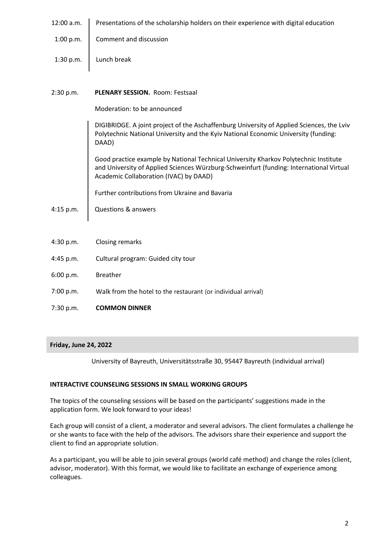| 12:00 a.m.   Presentations of the scholarship holders on their experience with digital education |  |  |
|--------------------------------------------------------------------------------------------------|--|--|
|--------------------------------------------------------------------------------------------------|--|--|

- 1:00 p.m. Comment and discussion
- 1:30 p.m. Lunch break

### 2:30 p.m. **PLENARY SESSION.** Room: Festsaal

Moderation: to be announced

DIGIBRIDGE. A joint project of the Aschaffenburg University of Applied Sciences, the Lviv Polytechnic National University and the Kyiv National Economic University (funding: DAAD)

Good practice example by National Technical University Kharkov Polytechnic Institute and University of Applied Sciences Würzburg-Schweinfurt (funding: International Virtual Academic Collaboration (IVAC) by DAAD)

Further contributions from Ukraine and Bavaria

4:15 p.m. Questions & answers

- 4:30 p.m. Closing remarks
- 4:45 p.m. Cultural program: Guided city tour
- 6:00 p.m. Breather
- 7:00 p.m. Walk from the hotel to the restaurant (or individual arrival)
- 7:30 p.m. **COMMON DINNER**

#### **Friday, June 24, 2022**

University of Bayreuth, Universitätsstraße 30, 95447 Bayreuth (individual arrival)

# **INTERACTIVE COUNSELING SESSIONS IN SMALL WORKING GROUPS**

The topics of the counseling sessions will be based on the participants' suggestions made in the application form. We look forward to your ideas!

Each group will consist of a client, a moderator and several advisors. The client formulates a challenge he or she wants to face with the help of the advisors. The advisors share their experience and support the client to find an appropriate solution.

As a participant, you will be able to join several groups (world café method) and change the roles (client, advisor, moderator). With this format, we would like to facilitate an exchange of experience among colleagues.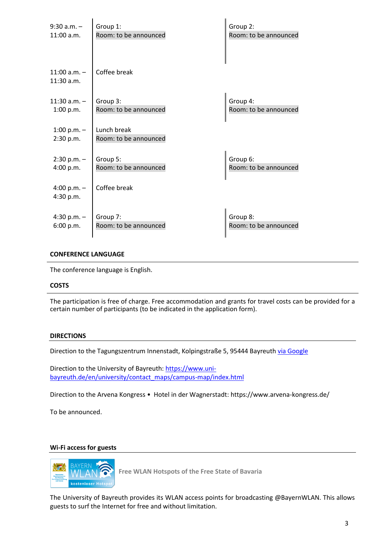| $9:30$ a.m. $-$                  | Group 1:                             | Group 2:              |
|----------------------------------|--------------------------------------|-----------------------|
| 11:00 a.m.                       | Room: to be announced                | Room: to be announced |
| $11:00$ a.m. $-$<br>$11:30$ a.m. | Coffee break                         |                       |
| $11:30$ a.m. $-$                 | Group 3:                             | Group 4:              |
| 1:00 p.m.                        | Room: to be announced                | Room: to be announced |
| 1:00 p.m. $-$<br>2:30 p.m.       | Lunch break<br>Room: to be announced |                       |
| $2:30 p.m. -$                    | Group 5:                             | Group 6:              |
| 4:00 p.m.                        | Room: to be announced                | Room: to be announced |
| 4:00 p.m. $-$<br>4:30 p.m.       | Coffee break                         |                       |
| 4:30 p.m. $-$                    | Group 7:                             | Group 8:              |
| 6:00 p.m.                        | Room: to be announced                | Room: to be announced |

#### **CONFERENCE LANGUAGE**

The conference language is English.

#### **COSTS**

The participation is free of charge. Free accommodation and grants for travel costs can be provided for a certain number of participants (to be indicated in the application form).

#### **DIRECTIONS**

Direction to the Tagungszentrum Innenstadt, Kolpingstraße 5, 95444 Bayreuth [via Google](https://www.google.com/maps/dir/ARVENA+KONGRESS+Hotel+in+der+Wagnerstadt,+Eduard-Bayerlein-Stra%C3%9Fe+5a,+95445+Bayreuth/Tagungszentrum+Bayreuth,+Kolpingstra%C3%9Fe+5,+95444+Bayreuth/@49.9501407,11.5722452,17z/data=!3m1!4b1!4m13!4m12!1m5!1m1!1s0x47a1a2c73d489265:0x2f8f82ac60b92afb!2m2!1d11.5697222!2d49.9491667!1m5!1m1!1s0x47a1a2c4d83bb835:0xed6ab778fa554ff9!2m2!1d11.5787631!2d49.9474113)

Direction to the University of Bayreuth: [https://www.uni](https://www.uni-bayreuth.de/en/university/contact_maps/campus-map/index.html)[bayreuth.de/en/university/contact\\_maps/campus-map/index.html](https://www.uni-bayreuth.de/en/university/contact_maps/campus-map/index.html)

Direction to the Arvena Kongress • Hotel in der Wagnerstadt: https://www.arvena-kongress.de/

To be announced.

#### **Wi-Fi access for guests**



**Free WLAN Hotspots of the Free State of Bavaria**

The University of Bayreuth provides its WLAN access points for broadcasting @BayernWLAN. This allows guests to surf the Internet for free and without limitation.